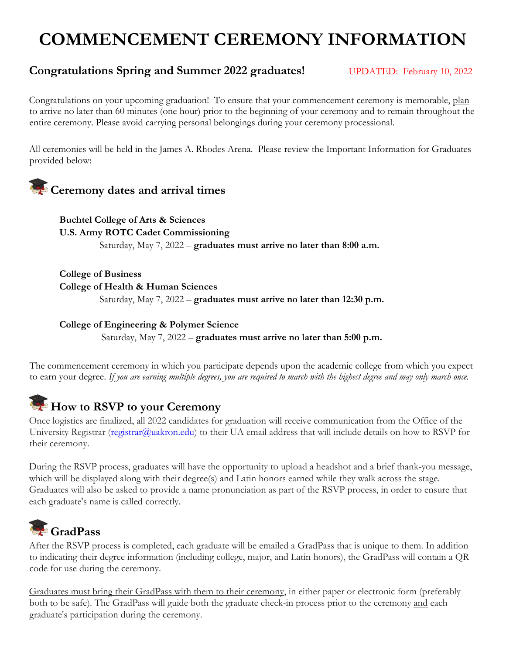# **COMMENCEMENT CEREMONY INFORMATION**

#### **Congratulations Spring and Summer 2022 graduates!** UPDATED: February 10, 2022

Congratulations on your upcoming graduation! To ensure that your commencement ceremony is memorable, plan to arrive no later than 60 minutes (one hour) prior to the beginning of your ceremony and to remain throughout the entire ceremony. Please avoid carrying personal belongings during your ceremony processional.

All ceremonies will be held in the James A. Rhodes Arena. Please review the Important Information for Graduates provided below:



**Buchtel College of Arts & Sciences U.S. Army ROTC Cadet Commissioning** Saturday, May 7, 2022 – **graduates must arrive no later than 8:00 a.m.**

**College of Business College of Health & Human Sciences**  Saturday, May 7, 2022 – **graduates must arrive no later than 12:30 p.m.**

#### **College of Engineering & Polymer Science**

Saturday, May 7, 2022 – **graduates must arrive no later than 5:00 p.m.**

The commencement ceremony in which you participate depends upon the academic college from which you expect to earn your degree. *If you are earning multiple degrees, you are required to march with the highest degree and may only march once.*



Once logistics are finalized, all 2022 candidates for graduation will receive communication from the Office of the University Registrar [\(registrar@uakron.edu\)](mailto:registrar@uakron.edu) to their UA email address that will include details on how to RSVP for their ceremony.

During the RSVP process, graduates will have the opportunity to upload a headshot and a brief thank-you message, which will be displayed along with their degree(s) and Latin honors earned while they walk across the stage. Graduates will also be asked to provide a name pronunciation as part of the RSVP process, in order to ensure that each graduate's name is called correctly.

# **GradPass**

After the RSVP process is completed, each graduate will be emailed a GradPass that is unique to them. In addition to indicating their degree information (including college, major, and Latin honors), the GradPass will contain a QR code for use during the ceremony.

Graduates must bring their GradPass with them to their ceremony, in either paper or electronic form (preferably both to be safe). The GradPass will guide both the graduate check-in process prior to the ceremony and each graduate's participation during the ceremony.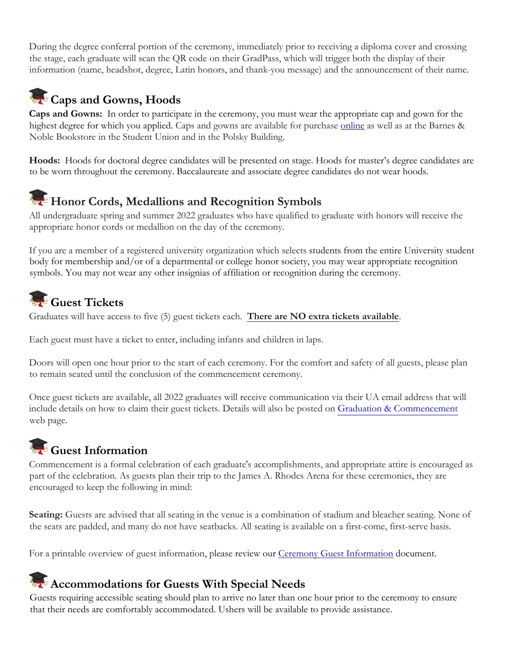During the degree conferral portion of the ceremony, immediately prior to receiving a diploma cover and crossing the stage, each graduate will scan the QR code on their GradPass, which will trigger both the display of their information (name, headshot, degree, Latin honors, and thank-you message) and the announcement of their name.

### **Caps and Gowns, Hoods**

**Caps and Gowns:** In order to participate in the ceremony, you must wear the appropriate cap and gown for the highest degree for which you applied. Caps and gowns are available for purchase [online](http://herff.ly/ua) as well as at the Barnes & Noble Bookstore in the Student Union and in the Polsky Building.

**Hoods:** Hoods for doctoral degree candidates will be presented on stage. Hoods for master's degree candidates are to be worn throughout the ceremony. Baccalaureate and associate degree candidates do not wear hoods.

#### **Honor Cords, Medallions and Recognition Symbols**

All undergraduate spring and summer 2022 graduates who have qualified to graduate with honors will receive the appropriate honor cords or medallion on the day of the ceremony.

If you are a member of a registered university organization which selects students from the entire University student body for membership and/or of a departmental or college honor society, you may wear appropriate recognition symbols. You may not wear any other insignias of affiliation or recognition during the ceremony.

#### **Guest Tickets**

Graduates will have access to five (5) guest tickets each. **There are NO extra tickets available**.

Each guest must have a ticket to enter, including infants and children in laps.

Doors will open one hour prior to the start of each ceremony. For the comfort and safety of all guests, please plan to remain seated until the conclusion of the commencement ceremony.

Once guest tickets are available, all 2022 graduates will receive communication via their UA email address that will include details on how to claim their guest tickets. Details will also be posted on [Graduation & Commencement](https://uakron.edu/registrar/graduation/) web page.

## **Guest Information**

Commencement is a formal celebration of each graduate's accomplishments, and appropriate attire is encouraged as part of the celebration. As guests plan their trip to the James A. Rhodes Arena for these ceremonies, they are encouraged to keep the following in mind:

**Seating:** Guests are advised that all seating in the venue is a combination of stadium and bleacher seating. None of the seats are padded, and many do not have seatbacks. All seating is available on a first-come, first-serve basis.

For a printable overview of guest information, please review our [Ceremony Guest Information](https://uakron.edu/registrar/docs/FamilyAndFriendsSpring2022.pdf) document.

#### **Accommodations for Guests With Special Needs**

Guests requiring accessible seating should plan to arrive no later than one hour prior to the ceremony to ensure that their needs are comfortably accommodated. Ushers will be available to provide assistance.